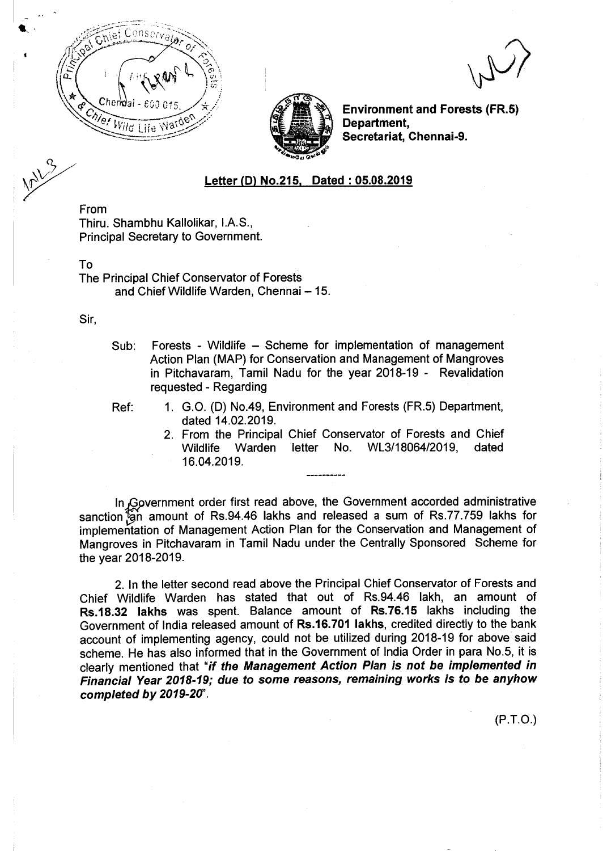

Environment and Forests (FR.5) Department, Secretariat, Chennai-9.

## Letter (D) No.215, Dated: 05.08.2019

From Thiru. Shambhu Kallolikar, I.A.S., Principal Secretary to Government.

To

The Principal Chief Conservator of Forests and Chief Wildlife Warden, Chennai - 15.

Sir,

- Sub: Forests Wildlife Scheme for implementation of management Action Plan (MAP) for Conservation and Management of Mangroves in Pitchavaram, Tamil Nadu for the year 2018-19 - Revalidation requested- Regarding
- 
- Ref: 1. G.O. (D) No.49, Environment and Forests (FR.5) Department, dated 14.02.2019.
	- 2. From the Principal Chief Conservator of Forests and Chief Wildlife Warden letter No. *WL3/18064/2019,* dated 16.04.2019.

In Government order first read above, the Government accorded administrative sanction<sup>7</sup>gh amount of Rs.94.46 lakhs and released a sum of Rs.77.759 lakhs for implementation of Management Action Plan for the Conservation and Management of Mangroves in Pitchavaram in Tamil Nadu under the Centrally Sponsored Scheme for the year 2018-2019.

2. In the letter second read above the Principal Chief Conservator of Forests and Chief Wildlife Warden has stated that out of Rs.94.46 lakh, an amount of Rs.1S.32 lakhs was spent. Balance amount of Rs.76.15 lakhs including the Government of India released amount of Rs.16.701 lakhs, credited directly to the bank account of implementing agency, could not be utilized during 2018-19 for above said scheme. He has also informed that in the Government of India Order in para No.5, it is clearly mentioned that *"if the Management Action Plan is not be implemented in Financial Year 2018-19; due* to *some reasons, remaining works is* to *be anyhow completed by 2019-2U'.*

(P.T.O.)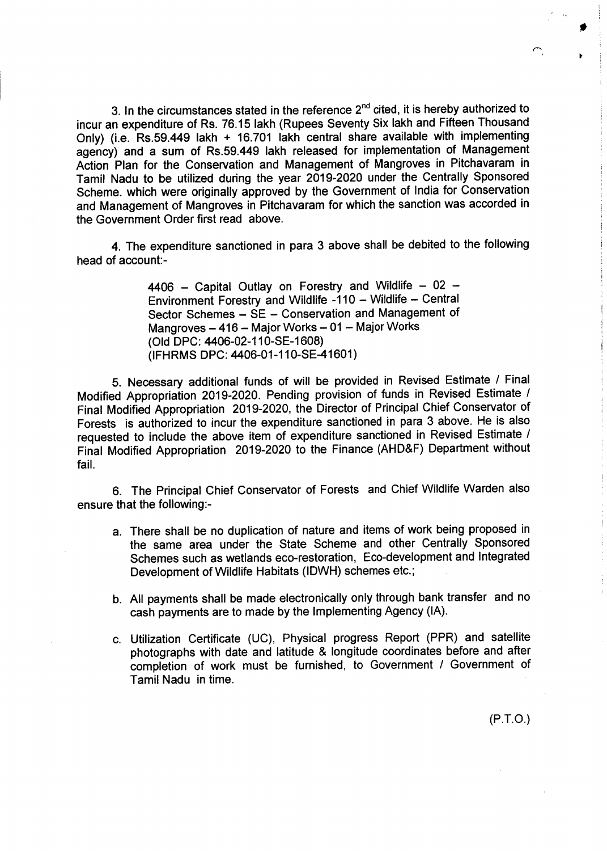3. In the circumstances stated in the reference 2<sup>nd</sup> cited, it is hereby authorized to incur an expenditure of Rs. 76.15 lakh (Rupees Seventy Six lakh and Fifteen Thousand Only) (i.e, Rs.59.449 lakh + 16.701 lakh central share available with implementing agency) and a sum of Rs.59.449 lakh released for implementation of Management Action Plan for the Conservation and Management of Mangroves in Pitchavaram in Tamil Nadu to be utilized during the year 2019-2020 under the Centrally Sponsored Scheme. which were originally approved by the Government of India for Conservation and Management of Mangroves in Pitchavaram for which the sanction was accorded in the Government Order first read above.

4. The expenditure sanctioned in para 3 above shall be debited to the following head of account:-

> $4406$  – Capital Outlay on Forestry and Wildlife – 02 – Environment Forestry and Wildlife -110 - Wildlife - Central Sector Schemes - SE - Conservation and Management of Mangroves  $-416$  - Major Works  $-01$  - Major Works (Old DPC: 4406-02-11 0-SE-1608) (IFHRMS DPC: 4406-01-110-SE-41601)

5. Necessary additional funds of will be provided in Revised Estimate *I* Final Modified Appropriation 2019-2020. Pending provision of funds in Revised Estimate *I* Final Modified Appropriation 2019-2020, the Director of Principal Chief Conservator of Forests is authorized to incur the expenditure sanctioned in para 3 above. He is also requested to include the above item of expenditure sanctioned in Revised Estimate *I* Final Modified Appropriation 2019-2020 to the Finance (AHD&F) Department without fail.

6. The Principal Chief Conservator of Forests and Chief Wildlife Warden also ensure that the following:-

- a. There shall be no duplication of nature and items of work being proposed in the same area under the State Scheme and other Centrally Sponsored Schemes such as wetlands eco-restoration, Eco-development and Integrated Development of Wildlife Habitats (IDWH) schemes etc.;
- b. All payments shall be made electronically only through bank transfer and no cash payments are to made by the Implementing Agency (IA).
- c. Utilization Certificate (UC), Physical progress Report (PPR) and satellite photographs with date and latitude & longitude coordinates before and after completion of work must be furnished, to Government *I* Government of Tamil Nadu in time.

(P.T.O.)

•